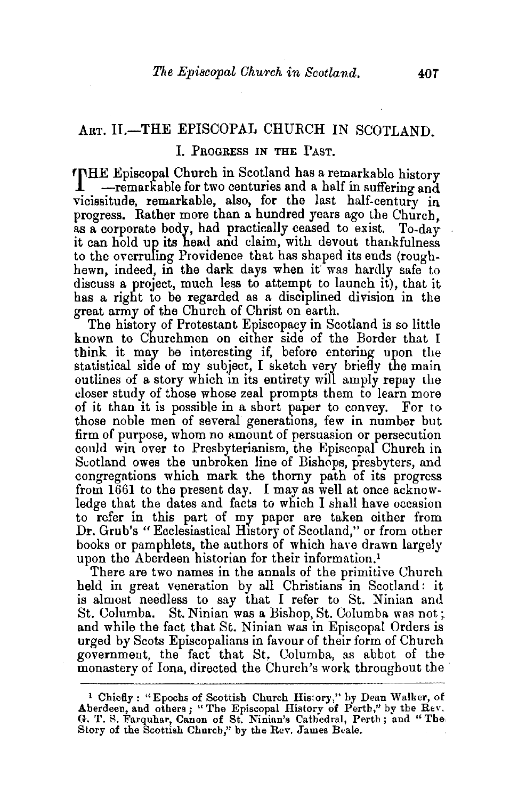## ART. II.-THE EPISCOPAL CHURCH IN SCOTLAND.

## **J. PROGRESS IN THE PAST.**

'fHE Episcopal Church in Scotland has a remarkable history  $-$ remarkable for two centuries and a half in suffering and vicissitude, remarkable, also, for the last half-century in progress. Rather more than a hundred years ago the Church as a corporate body, had practically ceased to exist. To-day it can hold up its head and claim, with devout thankfulness to the overruling Providence that has shaped its ends (roughhewn, indeed, in the dark days when it was hardly safe to discuss a project, much less to attempt to launch it), that it has a right to be regarded as a disciplined division in the great army of the Church of Christ on earth.

The history of Protestant Episcopacy in Scotland is so little known to Churchmen on either side of the Border that I think it may be interesting if, before entering upon the statistical side of my subject, I sketch very briefly the main outlines of a story which in its entirety will amply repay the closer study of those whose zeal prompts them to learn more of it than it is possible in a short paper to convey. For to those noble men of several generations, few in number but firm of purpose, whom no amount of persuasion or persecution could win over to Presbyterianism, the Episcopal Church in Scotland owes the unbroken line of Bishops, presbyters, and congregations which mark the thorny path of its progress from 1661 to the present day. I may as well at once acknowledge that the dates and facts to which I shall have occasion to refer in this part of my paper are taken either from Dr. Grub's "Ecclesiastical History of Scotland," or from other books or pamphlets, the authors of which have drawn largely upon the Aberdeen historian for their information.<sup>1</sup>

There are two names in the annals of the primitive Church held in great veneration by all Christians in Scotland: it is almost needless to say that I refer to St. Ninian and St. Columba. St. Ninian was a Bishop, St. Columba was not ;. and while the fact that St. Ninian was in Episcopal Orders is urged by Scots Episcopalians in favour of their form of Church government, the fact that St, Columba, as abbot of the monastery of Iona, directed the Church's work throughout the

<sup>&</sup>lt;sup>1</sup> Chiefly: "Epochs of Scottish Church History," by Dean Walker, of Aberdeen, and others; "The Episcopal History of Perth," by the Rev. G. T. S. Farquhar, Canon of St. Ninian's Cathedral, Perth; and "The Story of the Scottish Church," by the Rev. James Beale.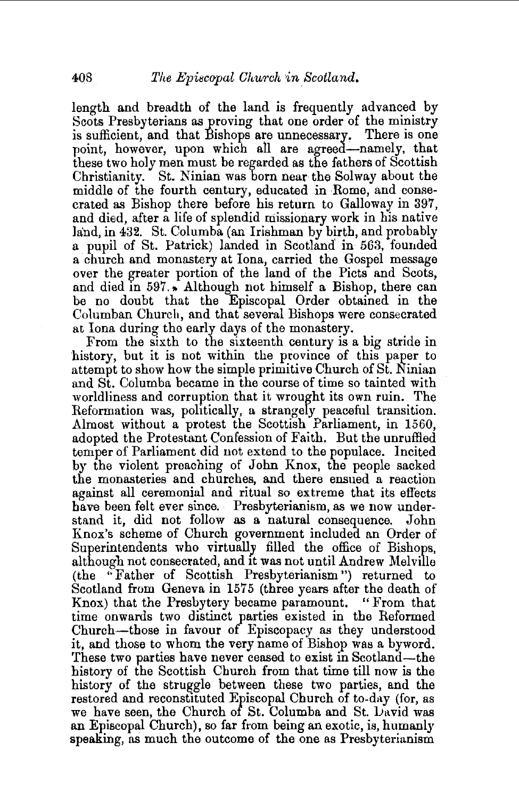length and breadth of the land is frequently advanced by Scots Presbyterians as proving that one order of the ministry is sufficient, and that Bishops are unnecessary. There is one point, however, upon which all are agreed-namely, that these two holy men must be regarded as the fathers of Scottish Christianity. St. Ninian was born near the Solway about the middle of the fourth century, educated in Rome, and consecrated as Bishop there before his return to Galloway in 397, and died, after a life of splendid missionary work in his native land, in 432. St. Columba (an Irishman by birth, and probably a pupil of St. Patrick) landed in Scotland in 563, founded a church and monastery at Iona, carried the Gospel message over the greater portion of the land of the Picts and Scots, and died in  $597.$ . Although not himself a Bishop, there can be no doubt that the Episcopal Order obtained in the Columban Church, and that several Bishops were consecrated at Iona during the early days of the monastery.

From the sixth to the sixteenth century is a big stride in history, but it is not within the province of this paper to attempt to show how the simple primitive Church of St. Ninian and St. Columba became in the course of time so tainted with worldliness and corruption that it wrought its own ruin. The Reformation was, politically, a strangely peaceful transition. Almost without a protest the Scottish Parliament, in 1560, adopted the Protestant Confession of Faith. But the unruffled temper of Parliament did not extend to the populace. Incited by the violent preaching of John Knox, the people sacked the monasteries and churches, and there ensued a reaction against all ceremonial and ritual so extreme that its effects have been felt ever since. Presbyterianism, as we now understand it, did not follow as a natural consequence. John Knox's scheme of Church government included an Order of Superintendents who virtually filled the office of Bishops, although not consecrated, and 1t was not until Andrew Melville {the "Father of Scottish Presbyterianism") returned to Scotland from Geneva in 1575 (three years after the death of Knox) that the Presbytery became paramount. "From that time onwards two distinct parties existed in the Reformed Church-those in favour of Episcopacy as they understood it, and those to whom the very name of Bishop was a byword. These two parties have never ceased to exist in Scotland-the history of the Scottish Church from that time till now is the history of the struggle between these two parties, and the restored and reconstituted Episcopal Church of to-day (for, as we have seen, the Church of St. Columba and St. David was an Episcopal Church), so far from being an exotic, is, humanly speaking, as much the outcome of the one as Presbyterianism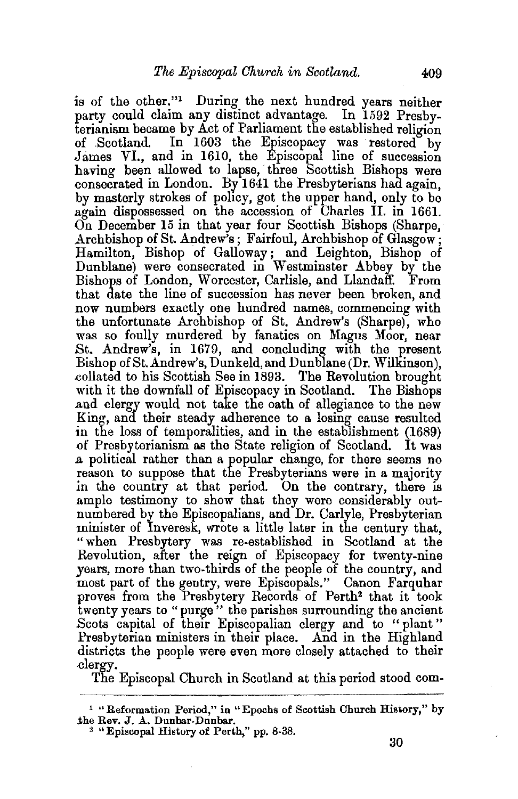is of the other."1 During the next hundred years neither party could claim any distinct advantage. In 1592 Presbyterianism became by Act of Parliament the established religion of Scotland. In 1603 the Episcopacy was restored by James VI., and in 1610, the Episcopal line of succession having been allowed to lapse, three Scottish Bishops were .consecrated in London. By 1641 the Presbyterians had again, by masterly strokes of policy, got the upper hand, only to be again dispossessed on the accession of Charles II. in 1661. On December 15 in that year four Scottish Bishops (Sharpe, Archbishop of St. Andrew's; Fairfoul, Archbishop of Glasgow; Hamilton, Bishop of Galloway; and Leighton, Bishop of Dunblane) were consecrated in Westminster Abbey by the Bishops of London, Worcester, Carlisle, and Llandaff. From that date the line of succession has never been broken, and now numbers exactly one hundred names, commencing with the unfortunate Archbishop of St. Andrew's (Sharpe), who was so foully murdered by fanatics on Magus Moor, near St. Andrew's, in 1679, and concluding with the present Bishop of St. Andrew's, Dunkeld, and Dunblane (Dr. Wilkinson), .collated to his Scottish See in 1893. The Revolution brought with it the downfall of Episcopacy in Scotland. The Bishops .and clergy would not take the oath of allegiance to the new King, and their steady adherence to a losing cause resulted in the loss of temporalities, and in the establishment (1689) of Pre&byterianism as the State religion of Scotland. It was .a political rather than a popular change, for there seems no reason to suppose that the Presbyterians were in a majority in the country at that period. On the contrary, there is ample testimony to show that they were considerably outnumbered by the Episcopalians, and Dr. Carlyle, Presbyterian minister of Inveresk, wrote a little later in the century that, "when Presbytery was re-established in Scotland at the Revolution, after the reign of Episcopacy for twenty-nine years, more than two-thirds of the people of the country, and most part of the gentry, were Episcopals." Canon Farquhar proves from the Presbytery Records of Perth<sup>2</sup> that it took twenty years to "purge" the parishes surrounding the ancient Scots capital of their Episcopalian clergy and to "plant" Presbyterian ministers in their place. And in the Highland districts the people were even more closely attached to their clergy.

The Episcopal Church in Scotland at this period stood com-

<sup>&</sup>lt;sup>1</sup> "Reformation Period," in "Epochs of Scottish Church History," by the Rev. J. A. Dunbar-Dunbar.

 $2$  "Episcopal History of Perth," pp. 8-38.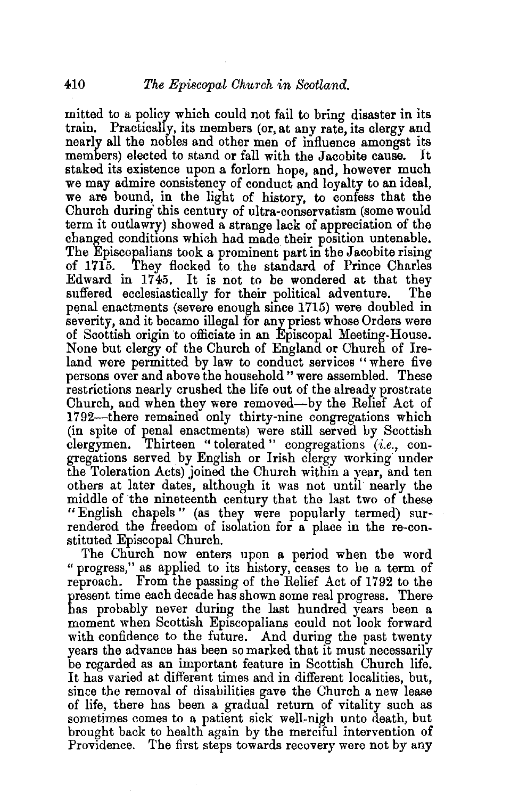mitted to a policy which could not fail to bring disaster in its train. Practically, its members (or, at any rate, its clergy and nearly all the nobles and other men of influence amongst its members) elected to stand or fall with the Jacobite cause. staked its existence upon a forlorn hope, and, however much we may admire consistency of conduct and loyalty to an ideal, we are bound, in the light of history, to confess that the Church during' this century of ultra-conservatism (some would term it outlawry) showed a strange lack of appreciation of the changed conditions which had made their position untenable. The Episcopalians took a prominent part in the Jacobite rising<br>of 1715. They flocked to the standard of Prince Charles They flocked to the standard of Prince Charles Edward in 17 45, It is not to be wondered at that they suffered ecclesiastically for their political adventure. The penal enactments (severe enough since 1715) were doubled in severity, and it became illegal for any priest whose Orders were of Scottish origin to officiate in an Episcopal Meeting-House. None but clergy of the Church of England or Church of Ireland were permitted by law to conduct services "where five persons over and above the household" were assembled. These restrictions nearly crushed the life out of the already prostrate Church, and when they were removed-by the Relief Act of 1792-there remained only thirty-nine congregations which (in spite of penal enactments) were still served by Scottish clergymen. Thirteen "tolerated" congregations *(i.e.,* congregations served by English or Irish clergy working· under the Toleration Acts) joined the Church within a year, and ten others at later dates, although it was not until nearly the middle of the nineteenth century that the last two of these "English chapels " (as they were popularly termed) surrendered the freedom of isolation for a place in the re-constituted Episcopal Church.

The Church now enters upon a period when the word " progress," as applied to its history, ceases to be a term of reproach. From the passing of the Relief Act of 1792 to the present time each decade has shown some real progress. There has probably never during the last hundred years been a moment when Scottish Episcopalians could not look forward with confidence to the future. And during the past twenty years the advance has been so marked that it must necessarily be regarded as an important feature in Scottish Church life. It has varied at different times and in different localities, but, since the removal of disabilities gave the Church a new lease of life, there has been a gradual return of vitality such as sometimes comes to a patient sick well-nigh unto death, but brought back to health again by the merciful intervention of Providence. The first steps towards recovery were not by any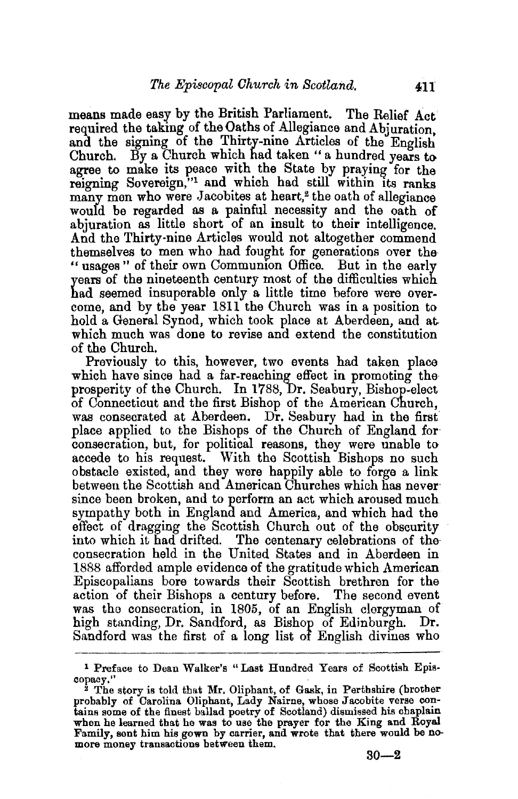means made easy by the British Parliament. The Relief Act required the taking of the Oaths of Allegiance and Abjuration. and the signing of the Thirty-nine Articles of the English Church. By a Church which had taken" a hundred years to agree to make its peace with the State by praying for the reigning Sovereign,"<sup>1</sup> and which had still within its ranks many men who were Jacobites at heart,<sup>2</sup> the oath of allegiance would be regarded as a painful necessity and the oath of abjuration as little short of an insult to their intelligence. And the Thirty·nine Articles would not altogether commend themselves to men who had fought for generations over the " usages" of their own Communion Office. But in the early years of the nineteenth century most of the difficulties which had seemed insuperable only a little time before were overcome, and by the year 1811 the Church was in a position to hold a General Synod, which took place at Aberdeen, and at. which much was done to revise and extend the constitution of the Church.

Previously to this, however, two events had taken place which have since had a far-reaching effect in promoting the prosperity of the Church. In 1788, Dr. Seabury, Bishop-elect of Connecticut and the first Bishop of the American Church, was consecrated at Aberdeen. Dr. Seabury had in the first place applied to the Bishops of the Church of England for consecration, but, for political reasons, they were unable to accede to his request. With the Scottish Bishops no such obstacle existed, and they were happily able to forge a link between the Scottish and American Churches which has never since been broken, and to perform an act which aroused much sympathy both in England and America, and which had the effect of dragging the Scottish Church out of the obscurity into which it had drifted. The centenary celebrations of the consecration held in the United States and in Aberdeen in 1888 afforded ample evidence of the gratitude which American Episcopalians bore towards their Scottish brethren for the action of their Bishops a century before. The second event was the consecration, in 1805, of an English clergyman of high standing, Dr. Sandford, as Bishop of Edinburgh. Dr. Sandford was the first of a long list of English divines who

<sup>1</sup> Preface to Dean Walker's "Last Hundred Years of Scottish Epis-

copacy."<br><sup>2</sup> The story is told that Mr. Oliphant, of Gask, in Perthshire (brother probably of Carolina Oliphant, Lady Nairne, whose Jacobite verse con- tains some of the finest ballad poetry of Scotland) dismissed his chaplain tains some of the finest ballad poetry of Scotland) dismissed his chaplain when he learned that he was to use the prayer for the King and Royal Family, sent him his gown by carrier, and wrote that there would be no- more money transactions between them.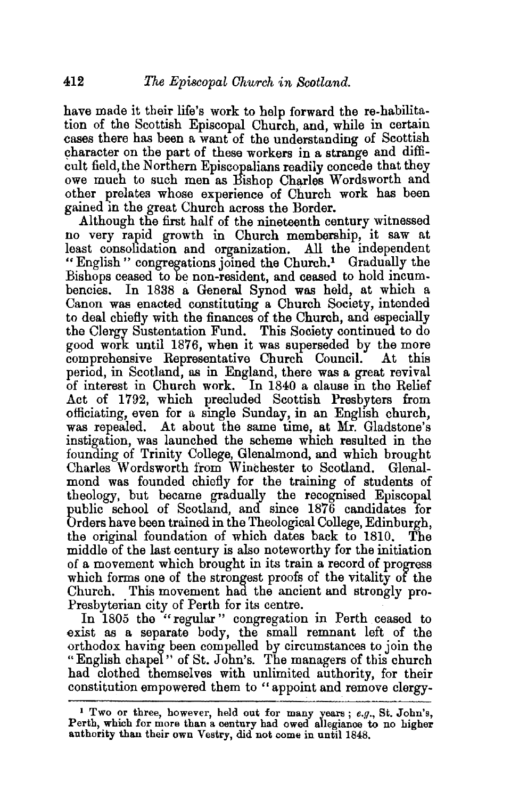have made it their life's work to help forward the re-habilitation of the Scottish Episcopal Church, and, while in certain cases there has been a want of the understanding of Scottish ~haracter on the part of these workers in a strange and difficult field, the Northern Episcopalians readily concede that they owe much to such men as Bishop Charles Wordsworth and other prelates whose experience of Church work has been gained in the great Church across the Border.

Although the first half of the nineteenth century witnessed no very rapid growth in Church membership, it saw at least consolidation and organization. All the independent "English" congregations joined the Church.! Gradually the Bishops ceased to be non-resident, and ceased to hold incumbencies. In 1838 a General Synod was held, at which a Canon was enacted constituting a Church Society, intended to deal chiefly with the finances of the Church, and especially the Clergy Sustentation Fund. This Society continued to do good work until 1876, when it was superseded by the more comprehensive Representative Church Council. At this period, in Scotland, as in England, there was a great revival of interest in Church work. In 1840 a clause in the Relief Act of 1792, which precluded Scottish Presbyters from officiating, even for a single Sunday, in an English church, was repealed. At about the same time, at Mr. Gladstone's instigation, was launched the scheme which resulted in the founding of Trinity College, Glenalmond, and which brought Charles Wordsworth from Winchester to Scotland. Glenalmond was founded chiefly for the training of students of theology, but became gradually the recognised Episcopal public school of Scotland, and since 1876 candidates for Orders have been trained in the Theological College, Edinburgh, the original foundation of which dates back to 1810. The middle of the last century is also noteworthy for the initiation of a movement which brought in its train a record of progress which forms one of the strongest proofs of the vitality of the Church. This movement had the ancient and strongly pro-Presbyterian city of Perth for its centre.

In 1805 the "regular" congregation in Perth ceased to exist as a separate body, the small remnant left of the orthodox having been compelled by circumstances to join the " English chapel " of St. John's. The managers of this church had clothed themselves with unlimited authority, for their constitution empowered them to "appoint and remove clergy-

<sup>1</sup>Two or three, however, held out for many years; *e.g.,* St. John's, Perth, which for more than a century had owed allegiance to no higher authority than their own Vestry, did not come in until 1848.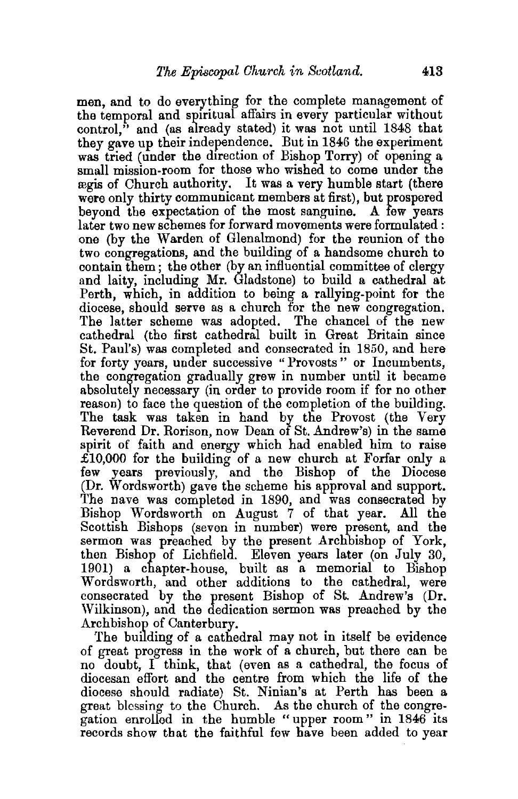men, and to do everything for the complete management of the temporal and spiritual affairs in every particular without control, $\mathbf{a}$  and (as already stated) it was not until 1848 that they gave up their independence. But in 1846 the experiment was tried (under the direction of Bishop Torry) of opening a small mission-room for those who wished to come under the regis of Church authority. It was a very humble start {there were only thirty communicant members at first), but prospered beyond the expectation of the most sanguine. A few years later two new schemes for forward movements were formulated : one (by the Warden of Glenalmond) for the reunion of the two congregations, and the building of a handsome church to contain them; the other (by an influential committee of clergy and laity, including Mr. Gladstone) to build a cathedral at Perth, which, in addition to being a rallying-point for the diocese, should serve as a church for the new congregation. The latter scheme was adopted. The chancel of the new cathedral (the first cathedral built in Great Britain since St. Paul's) was completed and consecrated in 1850, and here for forty years, under successive "Provosts" or Incumbents, the congregation gradually grew in number until it became absolutely necessary (in order to provide room if for no other reason) to face the question of the completion of the building. The task was taken in hand by the Provost (the Very Reverend Dr. Rorison, now Dean of St. Andrew's) in the same spirit of faith and energy which had enabled him to raise  $£10,000$  for the building of a new church at Forfar only a few years previous1y, and the Bishop of the Diocese (Dr. Wordsworth) gave the scheme his approval and support. The nave was completed in 1890, and was consecrated by Bishop Wordsworth on August 7 of that year. All the Scottish Bishops (seven in number) were present, and the sermon was preached by the present Archbishop of York, then Bishop of Lichfield. Eleven years later (on July 30, 1901) a chapter-house, built as a memorial to Bishop Wordsworth, and other additions to the cathedral, were consecrated by the present Bishop of St. Andrew's (Dr. Wilkinson), and the dedication sermon was preached by the Archbishop of Canterbury.

The building of a cathedral may not in itself be evidence of great progress in the work of a church, but there can be no doubt, I think, that (even as a cathedral, the focus of diocesan effort and the centre from which the life of the diocese should radiate) St. Ninian's at Perth has been a great blessing to the Church. As the church of the congregation enrolled in the humble "upper room" in 1846 its records show that the faithful few have been added to year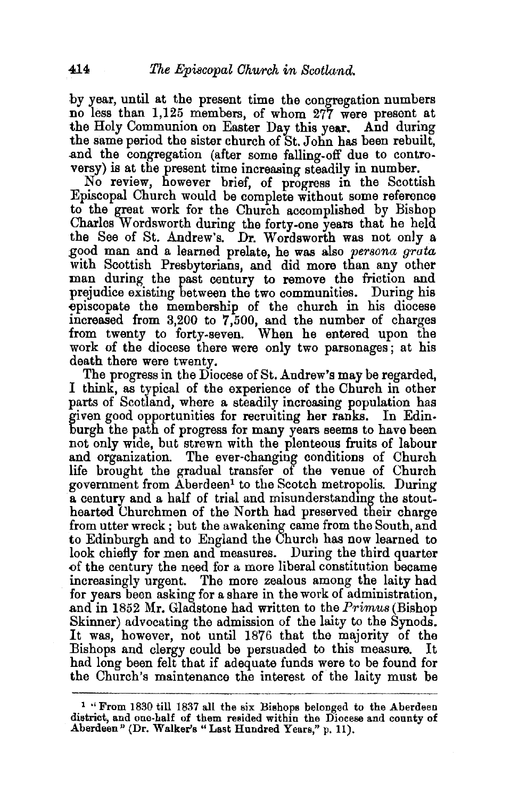by year, until at the present time the congregation numbers no less than 1,125 members, of whom 277 were present at the Holy Communion on Easter Day this year. And during the same period the sister church of St. John has been rebuilt, .and the congregation (after some falling-off due to controversy) is at the present time increasing steadily in number.

No review, however brief, of progress in the Scottish Episcopal Church would be complete without some reference to the great work for the Church accomplished by Bishop Charles Wordsworth during the forty-one years that he held the See of St. Andrew's. Dr. Wordsworth was not only a ,good man and a learned prelate, he was also *persona grata*  with Scottish Presbyterians, and did more than any other man during the past century to remove the friction and prejudice existing between the two communities. During his episcopate the membership of the church in his diocese increased from 3,200 to 7,500, and the number of charges from twenty to forty-seven. When he entered upon the work of the diocese there were only two parsonages; at his death there were twenty.

The progress in the Diocese of St. Andrew's may be regarded, I think, as typical of the experience of the Church in other parts of Scotland, where a steadily increasing population has given good opportunities for recruiting her rankS. In Edinburgh the path of progress for many years seems to have been not only wide, but strewn with the plenteous fruits of labour and organization. The ever-changing conditions of Church life brought the gradual transfer of the venue of Church government from Aberdeen1 to the Scotch metropolis. During a century and a half of trial and misunderstandmg the stouthearted Churchmen of the North had preserved their charge from utter wreck; but the awakening came from the South, and to Edinburgh and to England the Church has now learned to look chiefly for men and measures. During the third quarter of the century the need for a more liberal constitution became increasingly urgent. The more zealous among the laity had for years been asking for a share in the work of administration, and in 1852 Mr. Glaastone had written to the *Primus* (Bishop Skinner) advocating the admission of the laity to the Synods. It was, however, not until 1876 that the majority of the :Bishops and clergy could be persuaded to this measure. It had long been felt that if adequate funds were to be found for the Church's maintenance the interest of the laity must be

<sup>1 &#</sup>x27;'From 1830 till 1837 all the six Bishops belonged to the Aberdeen district, and one-half of them resided within the Diocese and county of Aberdeen" {Dr. Walker's "Last Hundred Years," p. 11).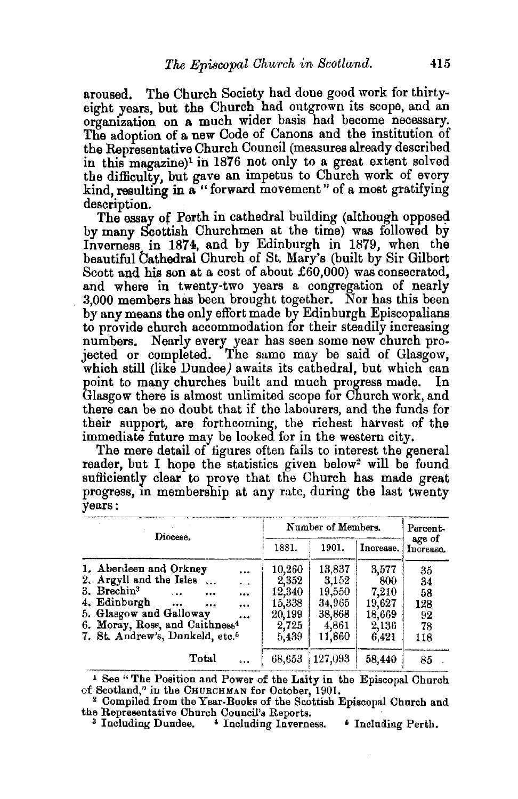aroused. The Church Society had done good work for thirtyeight years, but the Church had outgrown its scope, and an organization on a much wider basis had become necessary. The adoption of a new Code of Canons and the institution of the Representative Church Council (measures already described in this magazine)<sup>1</sup> in 1876 not only to a great extent solved the difficulty, but gave an impetus to Church work of every kind, resulting in a " forward movement " of a most gratifying

description.<br>The essay of Perth in cathedral building (although opposed by many Scottish Churchmen at the time) was followed by Inverness in 1874, and by Edinburgh in 1879, when the beautiful Cathedral Church of St. Mary's (built by Sir Gilbert Scott and his son at a cost of about £60,000) was consecrated, and where in twenty-two years a congregation of nearly 3,000 members has been brought together. Nor has this been by any means the only effort made by Edinburgh Episcopalians to provide church accommodation for their steadily increasing numbers. Nearly every year has seen some new church projected or completed. The same may be said of Glasgow, which still (like Dundee) awaits its cathedral, but which can point to many churches built and much progress made. In Glasgow there is almost unlimited scope for Church work, and there can be no doubt that if the labourers, and the funds for their support, are forthcoming, the richest harvest of the immediate future may be looked for in the western city.

The mere detail of figures often fails to interest the general reader, but I hope the statistics given below<sup>2</sup> will be found sufficiently clear to prove that the Church has made great progress, in membership at any rate, during the last twenty years:

| Diocese.                                                                                                                                                                                                                                                                      | Number of Members.                                              |                                                                  |                                                             | Percent-                                 |
|-------------------------------------------------------------------------------------------------------------------------------------------------------------------------------------------------------------------------------------------------------------------------------|-----------------------------------------------------------------|------------------------------------------------------------------|-------------------------------------------------------------|------------------------------------------|
|                                                                                                                                                                                                                                                                               | 1881.                                                           | 1901.                                                            | Increase.                                                   | age of<br>Increase.                      |
| 1. Aberdeen and Orkney<br><br>2. Argyll and the Isles<br>$\ddotsc$<br>3. Brechin <sup>3</sup><br>$\cdots$<br><br>8.68<br>4. Edinburgh<br><br><br><br>5. Glasgow and Galloway<br><br>6. Moray, Ross, and Caithness <sup>4</sup><br>7. St. Andrew's, Dunkeld, etc. <sup>5</sup> | 10,260<br>2,352<br>12,340<br>15.338<br>20,199<br>2,725<br>5,439 | 13,837<br>3,152<br>19,550<br>34,965<br>38,868<br>4,861<br>11,860 | 3,577<br>800<br>7.210<br>19.627<br>18,669<br>2,136<br>6.421 | 35<br>34<br>58<br>128<br>92<br>78<br>118 |
| Total                                                                                                                                                                                                                                                                         | 68,653                                                          | 127,093                                                          | 58,440                                                      | 85                                       |

<sup>1</sup> See "The Position and Power of the Laity in the Episcopal Church of Scotland," in the CHURCHMAN for October, 1901.

<sup>2</sup> Compiled from the Year-Books of the Scottish Episcopal Church and the Representative Church Council's Reports.

<sup>&</sup>lt;sup>3</sup> Including Dundee. • Including Inverness. • Including Perth.